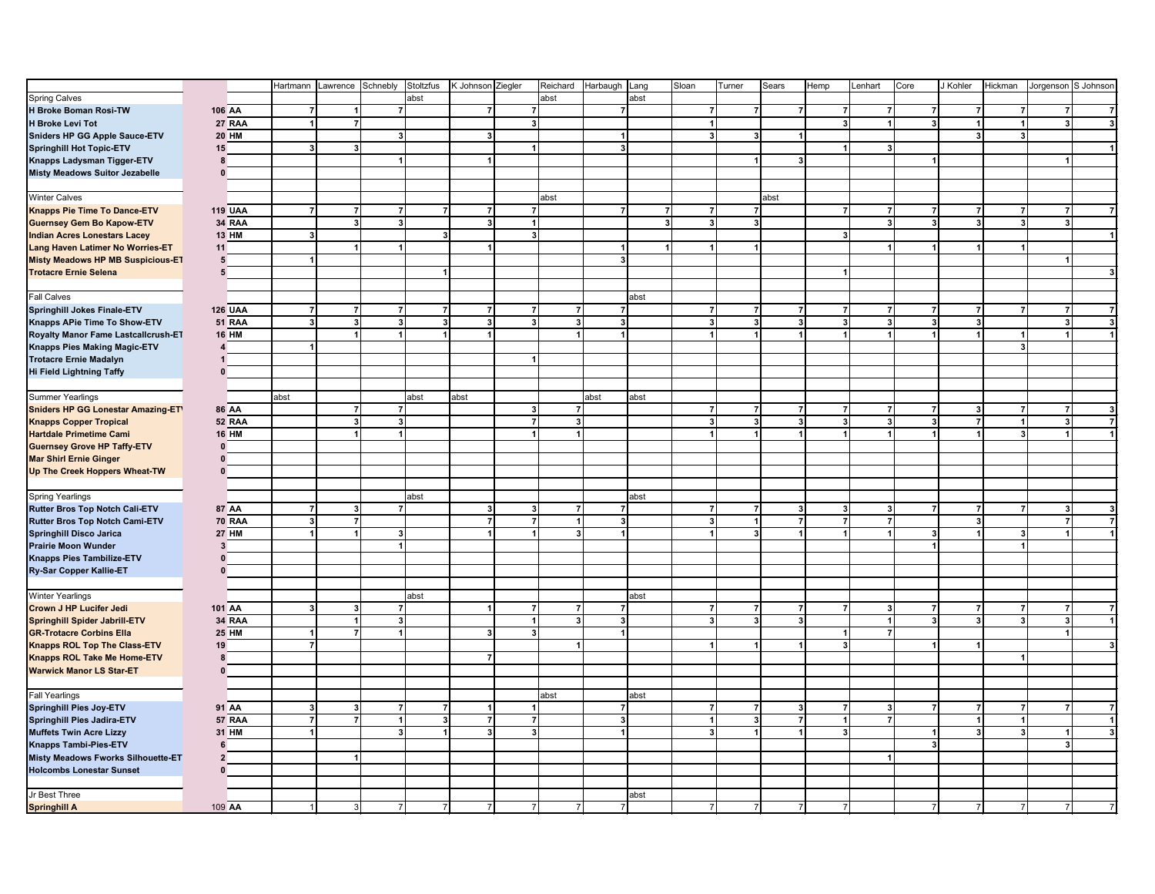|                                          |                 |                | Hartmann       | Lawrence Schnebly |                         | Stoltzfus      | K Johnson Ziegler       | Reichard                       | Harbaugh Lang  |                | Sloan                   | Turner         | Sears                                     | Hemp           | Lenhart        | Core                    | J Kohler                | Hickman                 | Jorgenson S Johnson     |   |
|------------------------------------------|-----------------|----------------|----------------|-------------------|-------------------------|----------------|-------------------------|--------------------------------|----------------|----------------|-------------------------|----------------|-------------------------------------------|----------------|----------------|-------------------------|-------------------------|-------------------------|-------------------------|---|
| <b>Spring Calves</b>                     |                 |                |                |                   |                         | abst           |                         | abst                           |                | abst           |                         |                |                                           |                |                |                         |                         |                         |                         |   |
| H Broke Boman Rosi-TW                    |                 | 106 AA         | $\overline{7}$ | $\mathbf{1}$      | $\overline{7}$          |                | $\overline{7}$          | $\overline{7}$                 | $\mathbf{z}$   |                | 7                       |                | $\overline{7}$                            | $\overline{7}$ | $\overline{7}$ | $\overline{7}$          | $\overline{7}$          |                         |                         |   |
| <b>H Broke Levi Tot</b>                  |                 | <b>27 RAA</b>  | 1              | $\mathbf{z}$      |                         |                |                         | $\overline{\mathbf{3}}$        |                |                | $\mathbf{1}$            |                |                                           | 3 <sup>1</sup> | 1              | 3 <sup>1</sup>          | $\mathbf{1}$            | $\mathbf{1}$            | 3                       |   |
| Sniders HP GG Apple Sauce-ETV            |                 | <b>20 HM</b>   |                |                   | 3                       |                | 3                       |                                | $\mathbf{1}$   |                | 3                       |                | 3                                         |                |                |                         | $\overline{\mathbf{3}}$ | $\overline{\mathbf{3}}$ |                         |   |
|                                          | 15              |                | 3 <sup>1</sup> | 3 <sup>1</sup>    |                         |                |                         | $\mathbf{1}$                   | 3 <sup>1</sup> |                |                         |                |                                           | 1              | 3              |                         |                         |                         |                         |   |
| <b>Springhill Hot Topic-ETV</b>          | 8               |                |                |                   | 1                       |                | $\blacktriangleleft$    |                                |                |                |                         |                | 3 <sup>1</sup>                            |                |                | $\mathbf{1}$            |                         |                         |                         |   |
| Knapps Ladysman Tigger-ETV               |                 |                |                |                   |                         |                |                         |                                |                |                |                         |                |                                           |                |                |                         |                         |                         |                         |   |
| <b>Misty Meadows Suitor Jezabelle</b>    | $\mathbf{0}$    |                |                |                   |                         |                |                         |                                |                |                |                         |                |                                           |                |                |                         |                         |                         |                         |   |
|                                          |                 |                |                |                   |                         |                |                         |                                |                |                |                         |                |                                           |                |                |                         |                         |                         |                         |   |
| Winter Calves                            |                 |                |                |                   |                         |                |                         | abst                           |                |                |                         |                | abst                                      |                |                |                         |                         |                         |                         |   |
| <b>Knapps Pie Time To Dance-ETV</b>      |                 | <b>119 UAA</b> | 7              | $\overline{7}$    | $\overline{7}$          | $\overline{7}$ | $\overline{7}$          | $\overline{7}$                 | $\overline{7}$ | $\overline{7}$ | $\overline{7}$          |                | 7                                         | $\overline{7}$ | 7              | $\overline{7}$          | 7                       | $\overline{7}$          |                         |   |
| <b>Guernsey Gem Bo Kapow-ETV</b>         |                 | <b>34 RAA</b>  |                | 3 <sup>1</sup>    | $\overline{\mathbf{3}}$ |                | $\mathbf{3}$            | $\overline{1}$                 |                | 3 <sup>1</sup> | $\overline{\mathbf{3}}$ |                | $\overline{3}$                            |                | $\vert$ 3      | 3 <sup>1</sup>          | $\overline{\mathbf{3}}$ | $\overline{\mathbf{3}}$ | 3                       |   |
| <b>Indian Acres Lonestars Lacey</b>      |                 | <b>13 HM</b>   | $\mathbf{3}$   |                   |                         | 3              |                         | $\overline{\mathbf{3}}$        |                |                |                         |                |                                           | 3 <sup>1</sup> |                |                         |                         |                         |                         |   |
| Lang Haven Latimer No Worries-ET         | 11              |                |                | 1                 | 1                       |                | $\mathbf{1}$            |                                | $\mathbf{1}$   |                |                         |                | $\blacktriangleleft$                      |                |                |                         | $\blacktriangleleft$    |                         |                         |   |
| <b>Misty Meadows HP MB Suspicious-ET</b> | $5\phantom{.0}$ |                | $\mathbf{1}$   |                   |                         |                |                         |                                | 3 <sup>1</sup> |                |                         |                |                                           |                |                |                         |                         |                         |                         |   |
| <b>Trotacre Ernie Selena</b>             | 5               |                |                |                   |                         |                |                         |                                |                |                |                         |                |                                           | $\mathbf{1}$   |                |                         |                         |                         |                         |   |
|                                          |                 |                |                |                   |                         |                |                         |                                |                |                |                         |                |                                           |                |                |                         |                         |                         |                         |   |
| <b>Fall Calves</b>                       |                 |                |                |                   |                         |                |                         |                                |                | abst           |                         |                |                                           |                |                |                         |                         |                         |                         |   |
| Springhill Jokes Finale-ETV              |                 | <b>126 UAA</b> | $\overline{7}$ | $\overline{7}$    | $\overline{7}$          | $\overline{7}$ | $\overline{7}$          | $\overline{7}$<br>7            | $\mathbf{7}$   |                | $\overline{7}$          |                | 7<br>$\overline{7}$                       | $\overline{7}$ | 7              | $\overline{7}$          | $\overline{7}$          | $\overline{7}$          |                         |   |
| Knapps APie Time To Show-ETV             |                 | 51 RAA         | $\mathbf{3}$   | 3 <sup>1</sup>    | 3                       | 3 <sup>1</sup> | $\overline{\mathbf{3}}$ | $\overline{\mathbf{3}}$<br>3   | 3 <sup>1</sup> |                | $\overline{\mathbf{3}}$ |                | $\overline{\mathbf{3}}$<br>3 <sup>1</sup> | 3 <sup>1</sup> | 3 <sup>1</sup> | $\overline{\mathbf{3}}$ | $\overline{\mathbf{3}}$ |                         | $\overline{\mathbf{3}}$ |   |
| Royalty Manor Fame Lastcallcrush-ET      |                 | <b>16 HM</b>   |                | 1                 | $\mathbf{1}$            | $\mathbf{1}$   | $\overline{1}$          |                                | $\mathbf{1}$   |                |                         |                | $\blacktriangleleft$<br>$\mathbf{1}$      | 1              | 1              | $\blacktriangleleft$    | $\overline{1}$          | $\mathbf{1}$            |                         |   |
| Knapps Pies Making Magic-ETV             | 4               |                |                |                   |                         |                |                         |                                |                |                |                         |                |                                           |                |                |                         |                         | $\overline{\mathbf{3}}$ |                         |   |
| <b>Trotacre Ernie Madalyn</b>            | 1               |                |                |                   |                         |                |                         | $\overline{1}$                 |                |                |                         |                |                                           |                |                |                         |                         |                         |                         |   |
| Hi Field Lightning Taffy                 | 0               |                |                |                   |                         |                |                         |                                |                |                |                         |                |                                           |                |                |                         |                         |                         |                         |   |
|                                          |                 |                |                |                   |                         |                |                         |                                |                |                |                         |                |                                           |                |                |                         |                         |                         |                         |   |
| Summer Yearlings                         |                 |                | abst           |                   |                         | abst           | abst                    |                                | abst           | abst           |                         |                |                                           |                |                |                         |                         |                         |                         |   |
| Sniders HP GG Lonestar Amazing-ET\       |                 | 86 AA          |                | $\overline{7}$    | $\overline{7}$          |                |                         | $\mathbf{3}$<br>$\overline{7}$ |                |                | $\overline{7}$          |                | $\mathbf{7}$<br>$\overline{7}$            | $\overline{7}$ | $\overline{7}$ | $\overline{7}$          | $\mathbf{3}$            | $\overline{7}$          | 7                       |   |
| <b>Knapps Copper Tropical</b>            |                 | 52 RAA         |                | 3 <sup>1</sup>    | 3                       |                |                         | $\overline{7}$<br>3            |                |                | 3                       |                | $\overline{\mathbf{3}}$<br>3 <sup>1</sup> | 3 <sup>1</sup> | $\vert$ 3      | 3                       | $\overline{7}$          | $\mathbf{1}$            | 3                       |   |
| <b>Hartdale Primetime Cami</b>           |                 | <b>16 HM</b>   |                | $\mathbf{1}$      | 1                       |                |                         |                                |                |                |                         |                | $\blacksquare$<br>$\blacktriangleleft$    | 1              |                | $\overline{1}$          | $\blacktriangleleft$    | $\overline{\mathbf{3}}$ |                         |   |
| <b>Guernsey Grove HP Taffy-ETV</b>       | $\mathbf{0}$    |                |                |                   |                         |                |                         |                                |                |                |                         |                |                                           |                |                |                         |                         |                         |                         |   |
| <b>Mar Shirl Ernie Ginger</b>            | $\mathbf{0}$    |                |                |                   |                         |                |                         |                                |                |                |                         |                |                                           |                |                |                         |                         |                         |                         |   |
|                                          |                 |                |                |                   |                         |                |                         |                                |                |                |                         |                |                                           |                |                |                         |                         |                         |                         |   |
| Up The Creek Hoppers Wheat-TW            | 0               |                |                |                   |                         |                |                         |                                |                |                |                         |                |                                           |                |                |                         |                         |                         |                         |   |
|                                          |                 |                |                |                   |                         |                |                         |                                |                |                |                         |                |                                           |                |                |                         |                         |                         |                         |   |
| Spring Yearlings                         |                 |                |                |                   |                         | abst           |                         |                                |                | abst           |                         |                |                                           |                |                |                         |                         |                         |                         |   |
| Rutter Bros Top Notch Cali-ETV           |                 | 87 AA          | $\overline{7}$ | 3 <sup>1</sup>    | $\overline{7}$          |                | $\mathbf{3}$            | $\mathbf{3}$<br>7              | $\overline{7}$ |                | $\overline{7}$          |                | $\overline{7}$<br>$\overline{\mathbf{3}}$ | 3 <sup>1</sup> | $\vert$ 3      | $\overline{7}$          | $\overline{7}$          | $\overline{7}$          | 3                       |   |
| Rutter Bros Top Notch Cami-ETV           |                 | <b>70 RAA</b>  | 3 <sup>1</sup> | $\overline{7}$    |                         |                | $\overline{7}$          | $\overline{7}$<br>1            | 3 <sup>1</sup> |                | $\overline{\mathbf{3}}$ |                | $\overline{7}$<br>$\mathbf{1}$            | $\overline{7}$ | $\overline{7}$ |                         | $\overline{\mathbf{3}}$ |                         | $\overline{7}$          |   |
| <b>Springhill Disco Jarica</b>           |                 | <b>27 HM</b>   | 1              | $\mathbf{1}$      | $\mathbf{3}$            |                | $\overline{1}$          | $\overline{1}$                 | $\mathbf{1}$   |                |                         |                | 3<br>1                                    | $\mathbf{1}$   |                | 3                       | $\overline{1}$          | 3                       |                         |   |
| <b>Prairie Moon Wunder</b>               | $\mathbf{3}$    |                |                |                   | $\vert$ 1               |                |                         |                                |                |                |                         |                |                                           |                |                | $\overline{1}$          |                         | $\overline{1}$          |                         |   |
| Knapps Pies Tambilize-ETV                | $\mathbf{0}$    |                |                |                   |                         |                |                         |                                |                |                |                         |                |                                           |                |                |                         |                         |                         |                         |   |
| Ry-Sar Copper Kallie-ET                  | n               |                |                |                   |                         |                |                         |                                |                |                |                         |                |                                           |                |                |                         |                         |                         |                         |   |
|                                          |                 |                |                |                   |                         |                |                         |                                |                |                |                         |                |                                           |                |                |                         |                         |                         |                         |   |
| <b>Winter Yearlings</b>                  |                 |                |                |                   |                         | abst           |                         |                                |                | abst           |                         |                |                                           |                |                |                         |                         |                         |                         |   |
| Crown J HP Lucifer Jedi                  |                 | 101 AA         | 3 <sup>1</sup> | 3 <sup>1</sup>    | $\overline{7}$          |                | $\mathbf{1}$            | $\overline{7}$<br>7            | $\mathbf{z}$   |                | $\overline{7}$          | $\overline{7}$ | $\overline{7}$                            | $\mathbf{z}$   | $\vert$ 3      | $\overline{7}$          | $\overline{7}$          | $\overline{7}$          | 7                       | 7 |
| Springhill Spider Jabrill ETV            |                 | <b>34 RAA</b>  |                | 1                 | $\overline{\mathbf{3}}$ |                |                         |                                | $\mathbf{3}$   |                | $\mathbf{3}$            |                | $\mathbf{3}$<br>3 <sup>1</sup>            |                | 1              | $\mathbf{3}$            | $\mathbf{3}$            | $\overline{\mathbf{3}}$ | 3                       |   |
| <b>GR-Trotacre Corbins Ella</b>          |                 | <b>25 HM</b>   | 1              | $\overline{7}$    | $\vert$                 |                | $\mathbf{3}$            | 3                              | $\vert$        |                |                         |                |                                           | 1              | $\overline{7}$ |                         |                         |                         |                         |   |
| Knapps ROL Top The Class-ETV             | 19              |                | $\overline{7}$ |                   |                         |                |                         |                                |                |                |                         |                |                                           | $\mathbf{3}$   |                |                         | $\mathbf{1}$            |                         |                         |   |
| <b>Knapps ROL Take Me Home-ETV</b>       | 8               |                |                |                   |                         |                | $\overline{7}$          |                                |                |                |                         |                |                                           |                |                |                         |                         |                         |                         |   |
| <b>Warwick Manor LS Star-ET</b>          | 0               |                |                |                   |                         |                |                         |                                |                |                |                         |                |                                           |                |                |                         |                         |                         |                         |   |
|                                          |                 |                |                |                   |                         |                |                         |                                |                |                |                         |                |                                           |                |                |                         |                         |                         |                         |   |
| <b>Fall Yearlings</b>                    |                 |                |                |                   |                         |                |                         | abst                           |                | abst           |                         |                |                                           |                |                |                         |                         |                         |                         |   |
| <b>Springhill Pies Joy-ETV</b>           |                 | 91 AA          | 3 <sup>1</sup> | 3 <sup>1</sup>    | 7                       | $\overline{7}$ | $\mathbf{1}$            | $\overline{1}$                 | $\mathbf{7}$   |                | $\overline{7}$          |                | $\overline{7}$<br>$\mathbf{3}$            | $\overline{7}$ | $\vert$ 3      | $\overline{7}$          | $\overline{7}$          | $\overline{7}$          | 7                       |   |
| Springhill Pies Jadira-ETV               |                 | 57 RAA         | $\overline{7}$ | $\mathbf{z}$      | $\overline{1}$          | $\mathbf{3}$   | $\overline{7}$          | $\overline{7}$                 | $\mathbf{3}$   |                |                         |                | $\mathbf{3}$<br>$\overline{7}$            | 1              | $\overline{7}$ |                         | $\overline{1}$          | $\vert$                 |                         |   |
| <b>Muffets Twin Acre Lizzy</b>           |                 | 31 HM          | $\mathbf{1}$   |                   | 3                       |                | $\overline{\mathbf{3}}$ | 3                              | $\blacksquare$ |                | $\mathbf{R}$            |                | $\blacktriangleleft$<br>$\mathbf{1}$      | 3 <sup>1</sup> |                | $\blacktriangleleft$    | $\overline{\mathbf{3}}$ | $\overline{\mathbf{3}}$ |                         |   |
| Knapps Tambi-Pies-ETV                    | 6               |                |                |                   |                         |                |                         |                                |                |                |                         |                |                                           |                |                | $\mathbf{3}$            |                         |                         | 3                       |   |
| Misty Meadows Fworks Silhouette-ET       | $\overline{2}$  |                |                | 1                 |                         |                |                         |                                |                |                |                         |                |                                           |                |                |                         |                         |                         |                         |   |
| <b>Holcombs Lonestar Sunset</b>          | 0               |                |                |                   |                         |                |                         |                                |                |                |                         |                |                                           |                |                |                         |                         |                         |                         |   |
|                                          |                 |                |                |                   |                         |                |                         |                                |                |                |                         |                |                                           |                |                |                         |                         |                         |                         |   |
|                                          |                 |                |                |                   |                         |                |                         |                                |                |                |                         |                |                                           |                |                |                         |                         |                         |                         |   |
| Jr Best Three                            |                 |                |                |                   |                         |                |                         |                                |                | abst           |                         |                |                                           |                |                |                         |                         |                         |                         |   |
| <b>Springhill A</b>                      |                 | 109 AA         |                | 3                 | $\overline{7}$          |                | $\overline{7}$          |                                |                |                |                         |                |                                           | $\overline{7}$ |                |                         | $\overline{7}$          |                         |                         |   |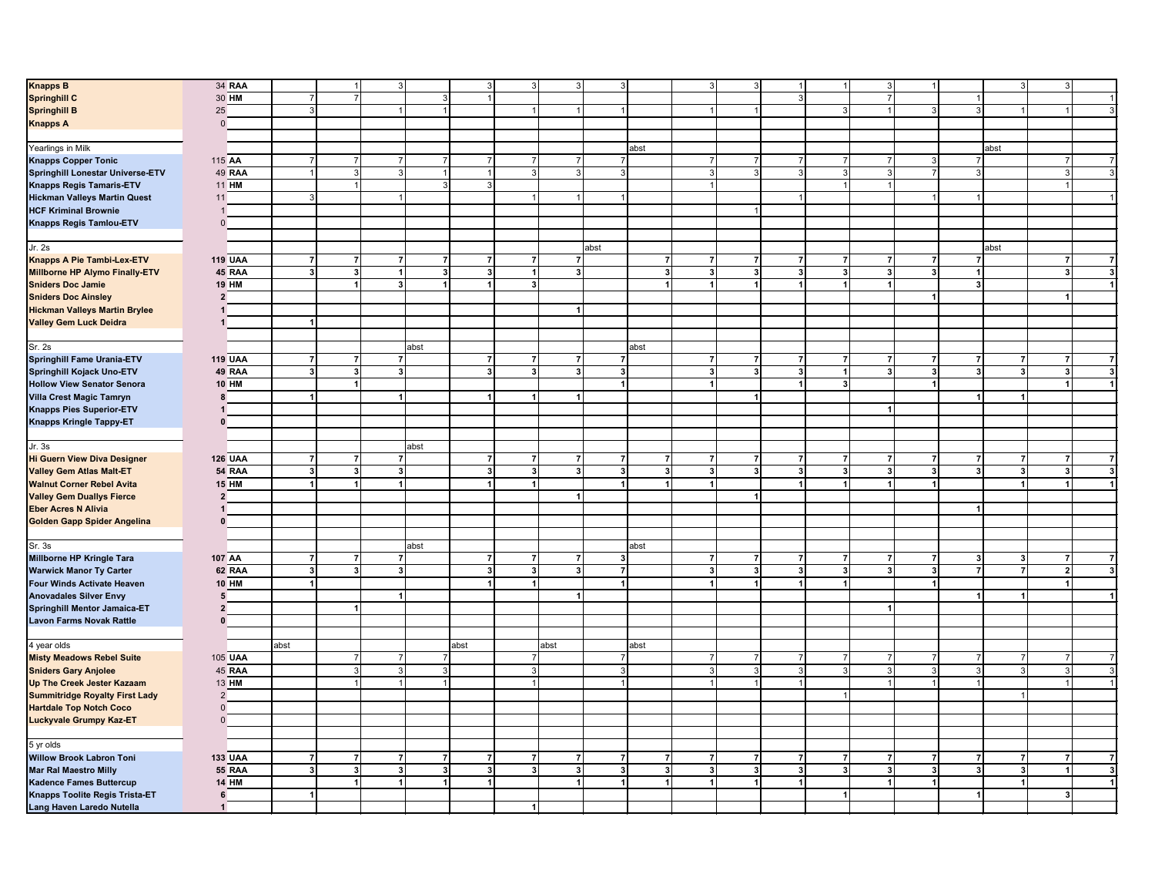| <b>Knapps B</b>                         | 34 RAA         |                         | $\overline{1}$                   | 3                            | 3 <sup>1</sup>       | $\mathcal{R}$                  |                      | $\mathbf{3}$   |                |                | 3 <sup>1</sup><br>$\overline{3}$               | $\mathbf{1}$            | 1                    | 3                       | $\vert$ 1      |                         | 3 <sup>1</sup> | 3              |                         |
|-----------------------------------------|----------------|-------------------------|----------------------------------|------------------------------|----------------------|--------------------------------|----------------------|----------------|----------------|----------------|------------------------------------------------|-------------------------|----------------------|-------------------------|----------------|-------------------------|----------------|----------------|-------------------------|
| <b>Springhill C</b>                     | 30 HM          | $\overline{7}$          | $\overline{7}$                   | 3 <sup>1</sup>               |                      |                                |                      |                |                |                |                                                | $\mathbf{3}$            |                      | $\overline{7}$          |                | $\mathbf{1}$            |                |                | $\mathbf{1}$            |
| <b>Springhill B</b>                     | 25             | $\overline{3}$          |                                  | $\vert$                      |                      | $\overline{1}$                 |                      |                |                |                | $\mathbf{1}$                                   |                         | 3 <sup>1</sup>       | $\overline{1}$          | 3              | $\mathbf{3}$            | 1              |                | $\mathbf{3}$            |
| <b>Knapps A</b>                         | $\mathbf 0$    |                         |                                  |                              |                      |                                |                      |                |                |                |                                                |                         |                      |                         |                |                         |                |                |                         |
|                                         |                |                         |                                  |                              |                      |                                |                      |                |                |                |                                                |                         |                      |                         |                |                         |                |                |                         |
| Yearlings in Milk                       |                |                         |                                  |                              |                      |                                |                      |                | abst           |                |                                                |                         |                      |                         |                |                         | abst           |                |                         |
|                                         |                | $\overline{7}$          |                                  | $\overline{7}$               |                      |                                |                      | 7              |                | $\overline{7}$ |                                                | $\overline{7}$          |                      | $\overline{7}$          |                |                         |                |                |                         |
| <b>Knapps Copper Tonic</b>              | 115 AA         |                         | $\overline{7}$                   |                              | $\overline{7}$       |                                |                      |                |                |                |                                                |                         | 7                    |                         | 3              | 7                       |                | 7              | $\overline{7}$          |
| <b>Springhill Lonestar Universe-ETV</b> | 49 RAA         | $\overline{1}$          | $\mathbf{3}$                     | 3                            | 1 <sup>1</sup>       |                                |                      | $\overline{3}$ |                |                | 3                                              | $\mathbf{3}$            | $\overline{3}$       | 3                       | $\overline{7}$ | $\mathbf{3}$            |                | $\mathbf{3}$   | $\mathbf{3}$            |
| <b>Knapps Regis Tamaris-ETV</b>         | 11 HM          |                         | $\overline{1}$                   | $\overline{3}$               | 3 <sup>1</sup>       |                                |                      |                |                | $\mathbf{1}$   |                                                |                         | $\mathbf{1}$         |                         |                |                         |                |                |                         |
| <b>Hickman Valleys Martin Quest</b>     | 11             | $\overline{3}$          |                                  |                              |                      |                                |                      |                |                |                |                                                |                         |                      |                         |                |                         |                |                | $\overline{1}$          |
| <b>HCF Kriminal Brownie</b>             | $\mathbf{1}$   |                         |                                  |                              |                      |                                |                      |                |                |                |                                                |                         |                      |                         |                |                         |                |                |                         |
| <b>Knapps Regis Tamlou-ETV</b>          | $\mathbf{0}$   |                         |                                  |                              |                      |                                |                      |                |                |                |                                                |                         |                      |                         |                |                         |                |                |                         |
|                                         |                |                         |                                  |                              |                      |                                |                      |                |                |                |                                                |                         |                      |                         |                |                         |                |                |                         |
|                                         |                |                         |                                  |                              |                      |                                |                      |                |                |                |                                                |                         |                      |                         |                |                         |                |                |                         |
| Jr. 2s                                  |                |                         |                                  |                              |                      |                                |                      | abst           |                |                |                                                |                         |                      |                         |                |                         | abst           |                |                         |
| Knapps A Pie Tambi-Lex-ETV              | <b>119 UAA</b> | $\overline{7}$          | $\overline{7}$<br>$\overline{7}$ | 7                            |                      | 71<br>$\overline{7}$           | $\overline{7}$       |                | $\overline{7}$ |                | 7<br>$\overline{7}$                            | $\overline{7}$          | 7                    | $\overline{7}$          | 7              | $\overline{7}$          |                | $\overline{7}$ | $\overline{7}$          |
| Millborne HP Alymo Finally-ETV          | 45 RAA         | $\mathbf{3}$            | $\overline{\mathbf{3}}$          | 3<br>$\blacktriangleleft$    | 3 <sup>1</sup>       | $\overline{1}$                 | 3                    |                | 3 <sup>1</sup> |                | $\mathbf{3}$<br>3                              | 3 <sup>1</sup>          | 3 <sup>l</sup>       | $\mathbf{3}$            | 3 <sup>1</sup> | $\mathbf{1}$            |                | 3              | $\mathbf{3}$            |
| <b>Sniders Doc Jamie</b>                | <b>19 HM</b>   |                         | $\vert$                          | $\mathbf{3}$<br>1            | $\blacktriangleleft$ | $\overline{\mathbf{3}}$        |                      |                | 1              | $\vert$        | $\overline{1}$                                 | $\vert$                 | 1 <sup>1</sup>       | $\mathbf{1}$            |                | $\overline{\mathbf{3}}$ |                |                | $\mathbf{1}$            |
| <b>Sniders Doc Ainsley</b>              | $\overline{2}$ |                         |                                  |                              |                      |                                |                      |                |                |                |                                                |                         |                      |                         | $\vert$ 1      |                         |                |                |                         |
| <b>Hickman Valleys Martin Brylee</b>    | $\mathbf{1}$   |                         |                                  |                              |                      |                                | 1                    |                |                |                |                                                |                         |                      |                         |                |                         |                |                |                         |
| <b>Valley Gem Luck Deidra</b>           | 1              | $\vert$                 |                                  |                              |                      |                                |                      |                |                |                |                                                |                         |                      |                         |                |                         |                |                |                         |
|                                         |                |                         |                                  |                              |                      |                                |                      |                |                |                |                                                |                         |                      |                         |                |                         |                |                |                         |
|                                         |                |                         |                                  |                              |                      |                                |                      |                |                |                |                                                |                         |                      |                         |                |                         |                |                |                         |
| <b>Sr. 2s</b>                           |                |                         |                                  | abst                         |                      |                                |                      |                | abst           |                |                                                |                         |                      |                         |                |                         |                |                |                         |
| Springhill Fame Urania-ETV              | <b>119 UAA</b> | $\overline{7}$          | $\overline{7}$                   | $\overline{7}$               | $\overline{7}$       | $\overline{7}$                 | $\overline{7}$       | $\overline{7}$ |                |                | $\mathbf{7}$<br>$\overline{7}$                 | $\overline{7}$          | $\overline{7}$       | $\overline{7}$          | $\overline{7}$ | $\overline{7}$          | $\mathbf{7}$   | $\overline{7}$ | $\overline{7}$          |
| Springhill Kojack Uno-ETV               | 49 RAA         | $\mathbf{3}$            | $\mathbf{3}$                     | 3                            | 3                    | $\mathbf{3}$                   | 3                    | 3 <sup>1</sup> |                |                | $\vert$ <sub>3</sub> $\vert$<br>3 <sup>1</sup> | $\overline{\mathbf{3}}$ | 1                    | 31                      | 3 <sup>1</sup> | $\mathbf{3}$            | 3 <sup>1</sup> | 3              | $\mathbf{3}$            |
| <b>Hollow View Senator Senora</b>       | <b>10 HM</b>   |                         | $\overline{1}$                   |                              |                      |                                |                      | $\mathbf{1}$   |                | $\mathbf{1}$   |                                                | $\mathbf{1}$            | 3 <sup>1</sup>       |                         | $\vert$        |                         |                |                | $\mathbf{1}$            |
| <b>Villa Crest Magic Tamryn</b>         | 8              | $\vert$                 |                                  | 1                            | 1                    | $\mathbf{1}$                   |                      |                |                |                | 1                                              |                         |                      |                         |                | $\overline{1}$          | 1              |                |                         |
| <b>Knapps Pies Superior-ETV</b>         | $\mathbf{1}$   |                         |                                  |                              |                      |                                |                      |                |                |                |                                                |                         |                      |                         |                |                         |                |                |                         |
| Knapps Kringle Tappy-ET                 | $\mathbf{0}$   |                         |                                  |                              |                      |                                |                      |                |                |                |                                                |                         |                      |                         |                |                         |                |                |                         |
|                                         |                |                         |                                  |                              |                      |                                |                      |                |                |                |                                                |                         |                      |                         |                |                         |                |                |                         |
|                                         |                |                         |                                  |                              |                      |                                |                      |                |                |                |                                                |                         |                      |                         |                |                         |                |                |                         |
| Jr. 3s                                  |                |                         |                                  | abst                         |                      |                                |                      |                |                |                |                                                |                         |                      |                         |                |                         |                |                |                         |
| <b>Hi Guern View Diva Designer</b>      | <b>126 UAA</b> | $\overline{7}$          | $\overline{7}$                   | $\overline{7}$               |                      | $\mathbf{z}$<br>$\overline{7}$ |                      | $\overline{7}$ | $\mathbf{z}$   |                | $\mathbf{z}$<br>$\overline{7}$                 | $\overline{7}$          | $\mathbf{7}$         | $\overline{7}$          | $\mathbf{7}$   | $\overline{7}$          | $\mathbf{z}$   | $\overline{7}$ | $\overline{7}$          |
| <b>Valley Gem Atlas Malt-ET</b>         | 54 RAA         | $\overline{\mathbf{3}}$ | $\mathbf{3}$                     | $\mathbf{3}$                 | 3 <sup>1</sup>       | $\mathbf{3}$                   | 3                    | 3 <sup>1</sup> | 3 <sup>1</sup> |                | 3 <sup>1</sup><br>$\overline{\mathbf{3}}$      | $\overline{\mathbf{3}}$ | 3 <sup>1</sup>       | $\overline{\mathbf{3}}$ | 3 <sup>1</sup> | 3 <sup>1</sup>          | 3 <sup>1</sup> | 3 <sup>1</sup> | $\overline{\mathbf{3}}$ |
| <b>Walnut Corner Rebel Avita</b>        | <b>15 HM</b>   |                         | $\blacktriangleleft$             |                              |                      |                                |                      |                | 1              | $\mathbf{1}$   |                                                | $\mathbf{1}$            | $\mathbf{1}$         |                         | $\overline{1}$ |                         | 1 <sup>1</sup> |                | 1                       |
| <b>Valley Gem Duallys Fierce</b>        | $\overline{2}$ |                         |                                  |                              |                      |                                |                      |                |                |                |                                                |                         |                      |                         |                |                         |                |                |                         |
| <b>Eber Acres N Alivia</b>              | 1              |                         |                                  |                              |                      |                                |                      |                |                |                |                                                |                         |                      |                         |                |                         |                |                |                         |
| <b>Golden Gapp Spider Angelina</b>      | $\Omega$       |                         |                                  |                              |                      |                                |                      |                |                |                |                                                |                         |                      |                         |                |                         |                |                |                         |
|                                         |                |                         |                                  |                              |                      |                                |                      |                |                |                |                                                |                         |                      |                         |                |                         |                |                |                         |
| Sr.3s                                   |                |                         |                                  | abst                         |                      |                                |                      |                | abst           |                |                                                |                         |                      |                         |                |                         |                |                |                         |
|                                         |                |                         |                                  |                              |                      |                                |                      |                |                |                |                                                |                         |                      |                         |                |                         |                |                |                         |
| Millborne HP Kringle Tara               | 107 AA         | $\overline{7}$          | $\overline{7}$                   | $\overline{7}$               | $\overline{7}$       | $\overline{7}$                 | 7                    | $\mathbf{3}$   |                |                | $\mathbf{7}$<br>$\overline{7}$                 | $\overline{7}$          | $\overline{7}$       | $\overline{7}$          | $\overline{7}$ | $\mathbf{3}$            | 3 <sup>1</sup> | $\overline{7}$ | $\overline{7}$          |
| <b>Warwick Manor Ty Carter</b>          | 62 RAA         | $\overline{\mathbf{3}}$ | $\overline{\mathbf{3}}$          | $\mathbf{3}$                 | $\mathbf{3}$         | $\mathbf{a}$                   |                      | $\overline{7}$ |                |                | 3 <sup>1</sup><br>3                            | 3                       | 3 <sup>1</sup>       | $\mathbf{3}$            | 3              | $\overline{7}$          | $\mathbf{z}$   | $\overline{ }$ | $\mathbf 3$             |
| Four Winds Activate Heaven              | <b>10 HM</b>   | $\blacktriangleleft$    |                                  |                              | 1                    | $\blacktriangleleft$           |                      | 1              |                | $\mathbf{1}$   | $\blacktriangleleft$                           | $\overline{1}$          | $\mathbf{1}$         |                         | $\overline{1}$ |                         |                |                |                         |
| <b>Anovadales Silver Envy</b>           | 5              |                         |                                  |                              |                      |                                |                      |                |                |                |                                                |                         |                      |                         |                |                         | 1              |                | $\mathbf{1}$            |
| Springhill Mentor Jamaica-ET            | $\overline{2}$ |                         | $\mathbf 1$                      |                              |                      |                                |                      |                |                |                |                                                |                         |                      | -1                      |                |                         |                |                |                         |
| <b>Lavon Farms Novak Rattle</b>         | $\mathbf{0}$   |                         |                                  |                              |                      |                                |                      |                |                |                |                                                |                         |                      |                         |                |                         |                |                |                         |
|                                         |                |                         |                                  |                              |                      |                                |                      |                |                |                |                                                |                         |                      |                         |                |                         |                |                |                         |
| 4 year olds                             |                | abst                    |                                  |                              | abst                 |                                | abst                 |                | abst           |                |                                                |                         |                      |                         |                |                         |                |                |                         |
|                                         | 105 UAA        |                         | $\overline{7}$                   | 7                            |                      |                                |                      |                |                | $\overline{7}$ |                                                | $\overline{7}$          | $\overline{7}$       |                         | $\overline{7}$ |                         | $\overline{7}$ |                | $\overline{7}$          |
| <b>Misty Meadows Rebel Suite</b>        |                |                         |                                  |                              |                      |                                |                      |                |                |                |                                                |                         |                      |                         |                |                         |                |                |                         |
| <b>Sniders Gary Anjolee</b>             | 45 RAA         |                         | $\overline{3}$                   | 3<br>3                       |                      |                                |                      | 3              |                |                | 3 <sup>1</sup>                                 | 3                       | 3                    |                         | $\overline{3}$ | 3                       | 3 <sup>1</sup> |                | 3                       |
| <b>Up The Creek Jester Kazaam</b>       | 13 HM          |                         |                                  |                              |                      |                                |                      |                |                | $\mathbf{1}$   |                                                |                         |                      |                         | $\overline{1}$ |                         |                |                | $\mathbf{1}$            |
| <b>Summitridge Royalty First Lady</b>   | $\overline{2}$ |                         |                                  |                              |                      |                                |                      |                |                |                |                                                |                         |                      |                         |                |                         |                |                |                         |
| <b>Hartdale Top Notch Coco</b>          | $\mathbf{0}$   |                         |                                  |                              |                      |                                |                      |                |                |                |                                                |                         |                      |                         |                |                         |                |                |                         |
| <b>Luckyvale Grumpy Kaz-ET</b>          | $\Omega$       |                         |                                  |                              |                      |                                |                      |                |                |                |                                                |                         |                      |                         |                |                         |                |                |                         |
|                                         |                |                         |                                  |                              |                      |                                |                      |                |                |                |                                                |                         |                      |                         |                |                         |                |                |                         |
| 5 yr olds                               |                |                         |                                  |                              |                      |                                |                      |                |                |                |                                                |                         |                      |                         |                |                         |                |                |                         |
|                                         |                | $\overline{7}$          |                                  | 7                            |                      | $\overline{7}$                 | $\overline{7}$       | $\overline{7}$ |                |                |                                                | $\overline{7}$          | $\mathbf{7}$         | $\overline{7}$          |                | $\overline{7}$          |                | 7              |                         |
| <b>Willow Brook Labron Toni</b>         | <b>133 UAA</b> |                         | $\overline{7}$                   | $\overline{7}$               | $\overline{7}$       |                                |                      |                | $\mathbf{7}$   |                | $\mathbf{7}$<br>$\overline{7}$                 |                         |                      |                         | $\overline{7}$ |                         | $\overline{7}$ |                | $\overline{7}$          |
| <b>Mar Ral Maestro Milly</b>            | <b>55 RAA</b>  | $\overline{\mathbf{3}}$ | $\mathbf{3}$                     | $\overline{\mathbf{3}}$<br>3 | $3\overline{)}$      | $\mathbf{3}$                   | 3                    | 3 <sup>1</sup> | 3 <sup>1</sup> |                | 3<br>$\mathbf{3}$                              | $\mathbf{3}$            | 3                    | 3                       | 3              | $\mathbf{3}$            | 3 <sup>1</sup> |                | 3                       |
| <b>Kadence Fames Buttercup</b>          | <b>14 HM</b>   |                         | $\overline{1}$                   | $\blacktriangleleft$<br>1    | $\mathbf{1}$         |                                | $\blacktriangleleft$ | $\mathbf{1}$   | 1              | $\vert$ 1      | $\vert$ 1                                      | $\vert$ 1               |                      | 1                       | $\vert$ 1      |                         | 1              |                | $\mathbf{1}$            |
| Knapps Toolite Regis Trista-ET          | 6              | $\blacktriangleleft$    |                                  |                              |                      |                                |                      |                |                |                |                                                |                         | $\blacktriangleleft$ |                         |                |                         |                |                |                         |
| Lang Haven Laredo Nutella               | $\mathbf{1}$   |                         |                                  |                              |                      | $\mathbf{1}$                   |                      |                |                |                |                                                |                         |                      |                         |                |                         |                |                |                         |